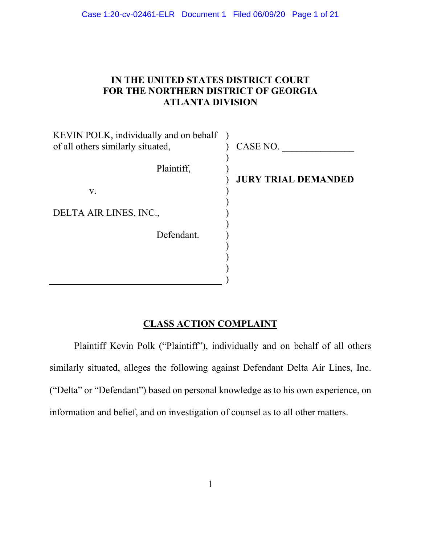# **IN THE UNITED STATES DISTRICT COURT FOR THE NORTHERN DISTRICT OF GEORGIA ATLANTA DIVISION**

| KEVIN POLK, individually and on behalf<br>of all others similarly situated, | CASE NO.                   |
|-----------------------------------------------------------------------------|----------------------------|
| Plaintiff,                                                                  |                            |
| V.                                                                          | <b>JURY TRIAL DEMANDED</b> |
| DELTA AIR LINES, INC.,                                                      |                            |
| Defendant.                                                                  |                            |
|                                                                             |                            |
|                                                                             |                            |

# **CLASS ACTION COMPLAINT**

Plaintiff Kevin Polk ("Plaintiff"), individually and on behalf of all others similarly situated, alleges the following against Defendant Delta Air Lines, Inc. ("Delta" or "Defendant") based on personal knowledge as to his own experience, on information and belief, and on investigation of counsel as to all other matters.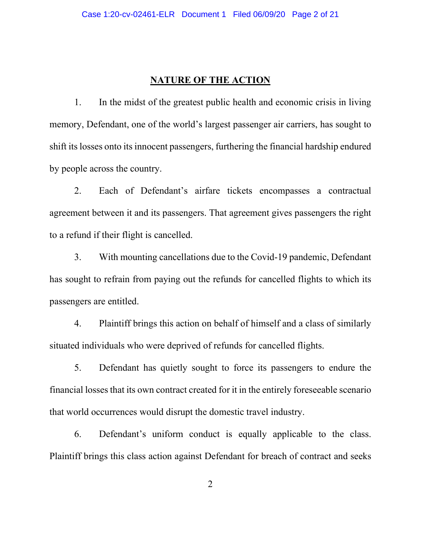## **NATURE OF THE ACTION**

1. In the midst of the greatest public health and economic crisis in living memory, Defendant, one of the world's largest passenger air carriers, has sought to shift its losses onto its innocent passengers, furthering the financial hardship endured by people across the country.

2. Each of Defendant's airfare tickets encompasses a contractual agreement between it and its passengers. That agreement gives passengers the right to a refund if their flight is cancelled.

3. With mounting cancellations due to the Covid-19 pandemic, Defendant has sought to refrain from paying out the refunds for cancelled flights to which its passengers are entitled.

4. Plaintiff brings this action on behalf of himself and a class of similarly situated individuals who were deprived of refunds for cancelled flights.

5. Defendant has quietly sought to force its passengers to endure the financial losses that its own contract created for it in the entirely foreseeable scenario that world occurrences would disrupt the domestic travel industry.

6. Defendant's uniform conduct is equally applicable to the class. Plaintiff brings this class action against Defendant for breach of contract and seeks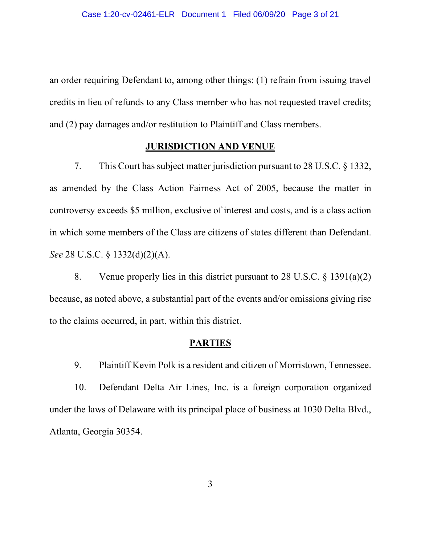an order requiring Defendant to, among other things: (1) refrain from issuing travel credits in lieu of refunds to any Class member who has not requested travel credits; and (2) pay damages and/or restitution to Plaintiff and Class members.

# **JURISDICTION AND VENUE**

7. This Court has subject matter jurisdiction pursuant to 28 U.S.C. § 1332, as amended by the Class Action Fairness Act of 2005, because the matter in controversy exceeds \$5 million, exclusive of interest and costs, and is a class action in which some members of the Class are citizens of states different than Defendant. *See* 28 U.S.C. § 1332(d)(2)(A).

8. Venue properly lies in this district pursuant to 28 U.S.C.  $\S$  1391(a)(2) because, as noted above, a substantial part of the events and/or omissions giving rise to the claims occurred, in part, within this district.

## **PARTIES**

9. Plaintiff Kevin Polk is a resident and citizen of Morristown, Tennessee.

10. Defendant Delta Air Lines, Inc. is a foreign corporation organized under the laws of Delaware with its principal place of business at 1030 Delta Blvd., Atlanta, Georgia 30354.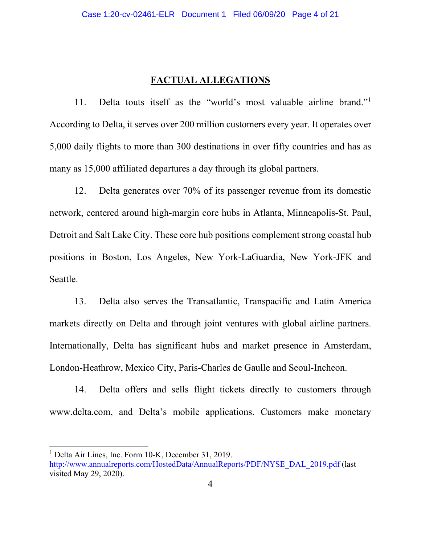### **FACTUAL ALLEGATIONS**

11. Delta touts itself as the "world's most valuable airline brand."[1](#page-3-0) According to Delta, it serves over 200 million customers every year. It operates over 5,000 daily flights to more than 300 destinations in over fifty countries and has as many as 15,000 affiliated departures a day through its global partners.

12. Delta generates over 70% of its passenger revenue from its domestic network, centered around high-margin core hubs in Atlanta, Minneapolis-St. Paul, Detroit and Salt Lake City. These core hub positions complement strong coastal hub positions in Boston, Los Angeles, New York-LaGuardia, New York-JFK and Seattle.

13. Delta also serves the Transatlantic, Transpacific and Latin America markets directly on Delta and through joint ventures with global airline partners. Internationally, Delta has significant hubs and market presence in Amsterdam, London-Heathrow, Mexico City, Paris-Charles de Gaulle and Seoul-Incheon.

14. Delta offers and sells flight tickets directly to customers through www.delta.com, and Delta's mobile applications. Customers make monetary

<span id="page-3-0"></span><sup>&</sup>lt;sup>1</sup> Delta Air Lines, Inc. Form 10-K, December 31, 2019.

[http://www.annualreports.com/HostedData/AnnualReports/PDF/NYSE\\_DAL\\_2019.pdf](http://www.annualreports.com/HostedData/AnnualReports/PDF/NYSE_DAL_2019.pdf) (last visited May 29, 2020).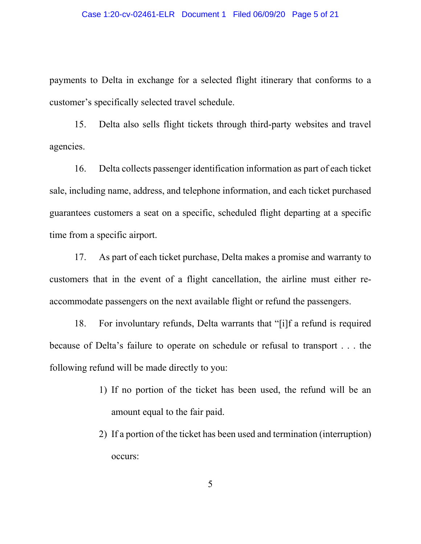#### Case 1:20-cv-02461-ELR Document 1 Filed 06/09/20 Page 5 of 21

payments to Delta in exchange for a selected flight itinerary that conforms to a customer's specifically selected travel schedule.

15. Delta also sells flight tickets through third-party websites and travel agencies.

16. Delta collects passenger identification information as part of each ticket sale, including name, address, and telephone information, and each ticket purchased guarantees customers a seat on a specific, scheduled flight departing at a specific time from a specific airport.

17. As part of each ticket purchase, Delta makes a promise and warranty to customers that in the event of a flight cancellation, the airline must either reaccommodate passengers on the next available flight or refund the passengers.

18. For involuntary refunds, Delta warrants that "[i]f a refund is required because of Delta's failure to operate on schedule or refusal to transport . . . the following refund will be made directly to you:

- 1) If no portion of the ticket has been used, the refund will be an amount equal to the fair paid.
- 2) If a portion of the ticket has been used and termination (interruption) occurs:

5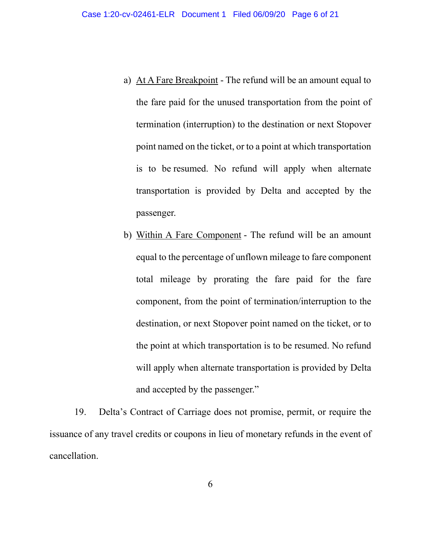- a) At A Fare Breakpoint The refund will be an amount equal to the fare paid for the unused transportation from the point of termination (interruption) to the destination or next Stopover point named on the ticket, or to a point at which transportation is to be resumed. No refund will apply when alternate transportation is provided by Delta and accepted by the passenger.
- b) Within A Fare Component The refund will be an amount equal to the percentage of unflown mileage to fare component total mileage by prorating the fare paid for the fare component, from the point of termination/interruption to the destination, or next Stopover point named on the ticket, or to the point at which transportation is to be resumed. No refund will apply when alternate transportation is provided by Delta and accepted by the passenger."

19. Delta's Contract of Carriage does not promise, permit, or require the issuance of any travel credits or coupons in lieu of monetary refunds in the event of cancellation.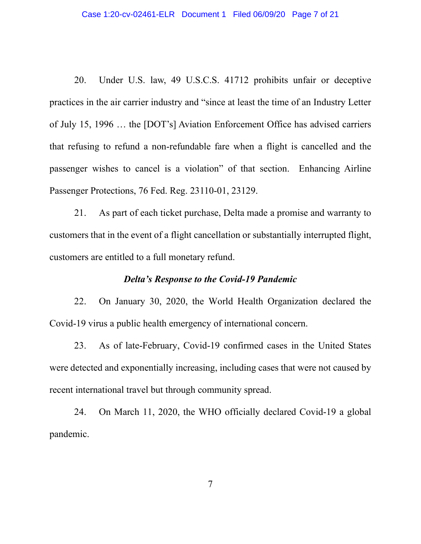20. Under U.S. law, 49 U.S.C.S. 41712 prohibits unfair or deceptive practices in the air carrier industry and "since at least the time of an Industry Letter of July 15, 1996 … the [DOT's] Aviation Enforcement Office has advised carriers that refusing to refund a non-refundable fare when a flight is cancelled and the passenger wishes to cancel is a violation" of that section. Enhancing Airline Passenger Protections, 76 Fed. Reg. 23110-01, 23129.

21. As part of each ticket purchase, Delta made a promise and warranty to customers that in the event of a flight cancellation or substantially interrupted flight, customers are entitled to a full monetary refund.

## *Delta's Response to the Covid-19 Pandemic*

22. On January 30, 2020, the World Health Organization declared the Covid-19 virus a public health emergency of international concern.

23. As of late-February, Covid-19 confirmed cases in the United States were detected and exponentially increasing, including cases that were not caused by recent international travel but through community spread.

24. On March 11, 2020, the WHO officially declared Covid-19 a global pandemic.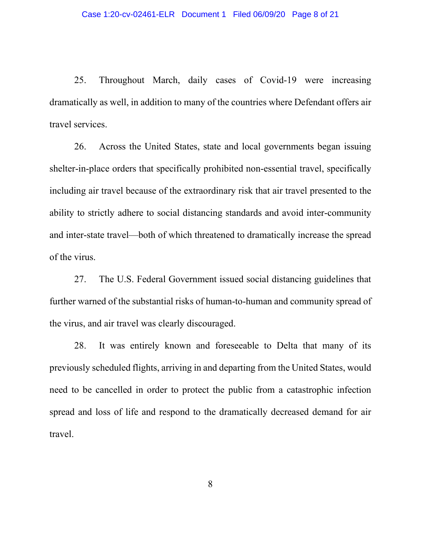25. Throughout March, daily cases of Covid-19 were increasing dramatically as well, in addition to many of the countries where Defendant offers air travel services.

26. Across the United States, state and local governments began issuing shelter-in-place orders that specifically prohibited non-essential travel, specifically including air travel because of the extraordinary risk that air travel presented to the ability to strictly adhere to social distancing standards and avoid inter-community and inter-state travel—both of which threatened to dramatically increase the spread of the virus.

27. The U.S. Federal Government issued social distancing guidelines that further warned of the substantial risks of human-to-human and community spread of the virus, and air travel was clearly discouraged.

28. It was entirely known and foreseeable to Delta that many of its previously scheduled flights, arriving in and departing from the United States, would need to be cancelled in order to protect the public from a catastrophic infection spread and loss of life and respond to the dramatically decreased demand for air travel.

8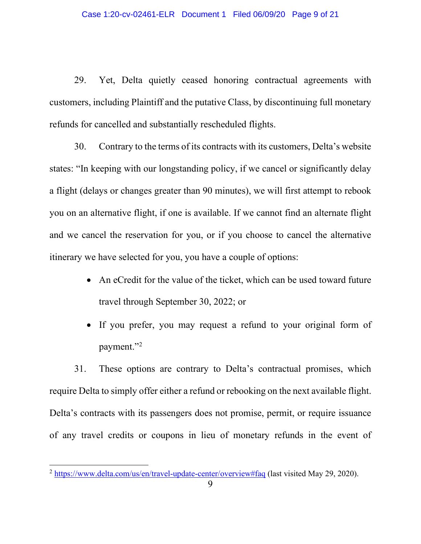29. Yet, Delta quietly ceased honoring contractual agreements with customers, including Plaintiff and the putative Class, by discontinuing full monetary refunds for cancelled and substantially rescheduled flights.

30. Contrary to the terms of its contracts with its customers, Delta's website states: "In keeping with our longstanding policy, if we cancel or significantly delay a flight (delays or changes greater than 90 minutes), we will first attempt to rebook you on an alternative flight, if one is available. If we cannot find an alternate flight and we cancel the reservation for you, or if you choose to cancel the alternative itinerary we have selected for you, you have a couple of options:

- An eCredit for the value of the ticket, which can be used toward future travel through September 30, 2022; or
- If you prefer, you may request a refund to your original form of payment.["2](#page-8-0)

31. These options are contrary to Delta's contractual promises, which require Delta to simply offer either a refund or rebooking on the next available flight. Delta's contracts with its passengers does not promise, permit, or require issuance of any travel credits or coupons in lieu of monetary refunds in the event of

<span id="page-8-0"></span><sup>&</sup>lt;sup>2</sup> <https://www.delta.com/us/en/travel-update-center/overview#faq> (last visited May 29, 2020).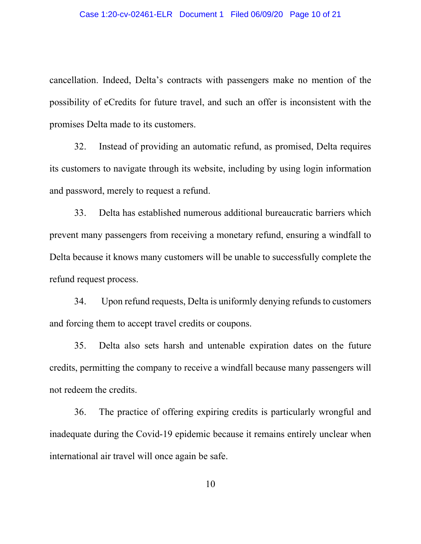#### Case 1:20-cv-02461-ELR Document 1 Filed 06/09/20 Page 10 of 21

cancellation. Indeed, Delta's contracts with passengers make no mention of the possibility of eCredits for future travel, and such an offer is inconsistent with the promises Delta made to its customers.

32. Instead of providing an automatic refund, as promised, Delta requires its customers to navigate through its website, including by using login information and password, merely to request a refund.

33. Delta has established numerous additional bureaucratic barriers which prevent many passengers from receiving a monetary refund, ensuring a windfall to Delta because it knows many customers will be unable to successfully complete the refund request process.

34. Upon refund requests, Delta is uniformly denying refunds to customers and forcing them to accept travel credits or coupons.

35. Delta also sets harsh and untenable expiration dates on the future credits, permitting the company to receive a windfall because many passengers will not redeem the credits.

36. The practice of offering expiring credits is particularly wrongful and inadequate during the Covid-19 epidemic because it remains entirely unclear when international air travel will once again be safe.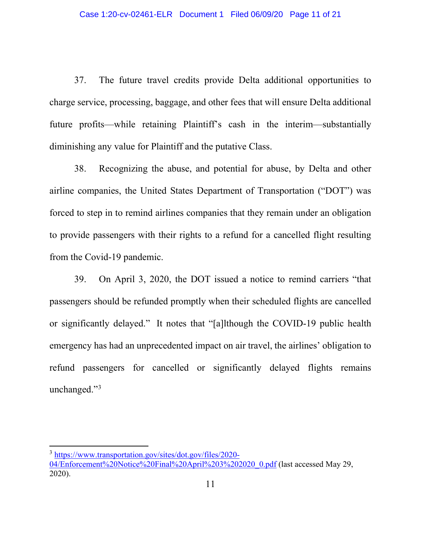37. The future travel credits provide Delta additional opportunities to charge service, processing, baggage, and other fees that will ensure Delta additional future profits—while retaining Plaintiff's cash in the interim—substantially diminishing any value for Plaintiff and the putative Class.

38. Recognizing the abuse, and potential for abuse, by Delta and other airline companies, the United States Department of Transportation ("DOT") was forced to step in to remind airlines companies that they remain under an obligation to provide passengers with their rights to a refund for a cancelled flight resulting from the Covid-19 pandemic.

39. On April 3, 2020, the DOT issued a notice to remind carriers "that passengers should be refunded promptly when their scheduled flights are cancelled or significantly delayed." It notes that "[a]lthough the COVID-19 public health emergency has had an unprecedented impact on air travel, the airlines' obligation to refund passengers for cancelled or significantly delayed flights remains unchanged."<sup>[3](#page-10-0)</sup>

<span id="page-10-0"></span><sup>3</sup> [https://www.transportation.gov/sites/dot.gov/files/2020-](https://www.transportation.gov/sites/dot.gov/files/2020-04/Enforcement%20Notice%20Final%20April%203%202020_0.pdf)

[<sup>04/</sup>Enforcement%20Notice%20Final%20April%203%202020\\_0.pdf](https://www.transportation.gov/sites/dot.gov/files/2020-04/Enforcement%20Notice%20Final%20April%203%202020_0.pdf) (last accessed May 29, 2020).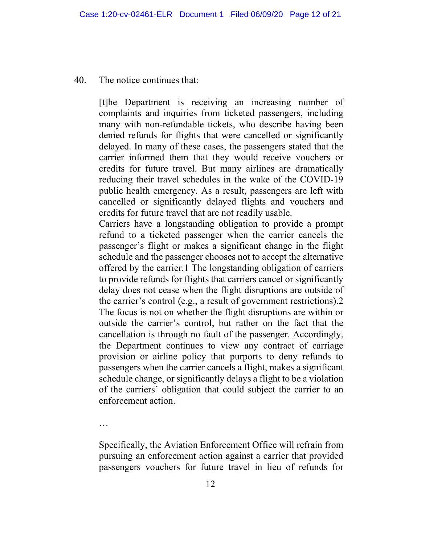# 40. The notice continues that:

[t]he Department is receiving an increasing number of complaints and inquiries from ticketed passengers, including many with non-refundable tickets, who describe having been denied refunds for flights that were cancelled or significantly delayed. In many of these cases, the passengers stated that the carrier informed them that they would receive vouchers or credits for future travel. But many airlines are dramatically reducing their travel schedules in the wake of the COVID-19 public health emergency. As a result, passengers are left with cancelled or significantly delayed flights and vouchers and credits for future travel that are not readily usable.

Carriers have a longstanding obligation to provide a prompt refund to a ticketed passenger when the carrier cancels the passenger's flight or makes a significant change in the flight schedule and the passenger chooses not to accept the alternative offered by the carrier.1 The longstanding obligation of carriers to provide refunds for flights that carriers cancel or significantly delay does not cease when the flight disruptions are outside of the carrier's control (e.g., a result of government restrictions).2 The focus is not on whether the flight disruptions are within or outside the carrier's control, but rather on the fact that the cancellation is through no fault of the passenger. Accordingly, the Department continues to view any contract of carriage provision or airline policy that purports to deny refunds to passengers when the carrier cancels a flight, makes a significant schedule change, or significantly delays a flight to be a violation of the carriers' obligation that could subject the carrier to an enforcement action.

…

Specifically, the Aviation Enforcement Office will refrain from pursuing an enforcement action against a carrier that provided passengers vouchers for future travel in lieu of refunds for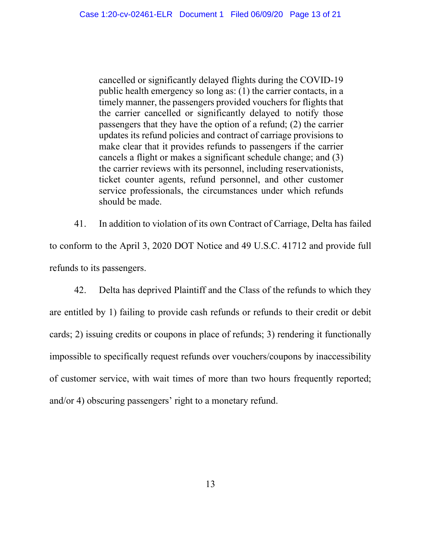cancelled or significantly delayed flights during the COVID-19 public health emergency so long as: (1) the carrier contacts, in a timely manner, the passengers provided vouchers for flights that the carrier cancelled or significantly delayed to notify those passengers that they have the option of a refund; (2) the carrier updates its refund policies and contract of carriage provisions to make clear that it provides refunds to passengers if the carrier cancels a flight or makes a significant schedule change; and (3) the carrier reviews with its personnel, including reservationists, ticket counter agents, refund personnel, and other customer service professionals, the circumstances under which refunds should be made.

41. In addition to violation of its own Contract of Carriage, Delta has failed to conform to the April 3, 2020 DOT Notice and 49 U.S.C. 41712 and provide full refunds to its passengers.

42. Delta has deprived Plaintiff and the Class of the refunds to which they are entitled by 1) failing to provide cash refunds or refunds to their credit or debit cards; 2) issuing credits or coupons in place of refunds; 3) rendering it functionally impossible to specifically request refunds over vouchers/coupons by inaccessibility of customer service, with wait times of more than two hours frequently reported; and/or 4) obscuring passengers' right to a monetary refund.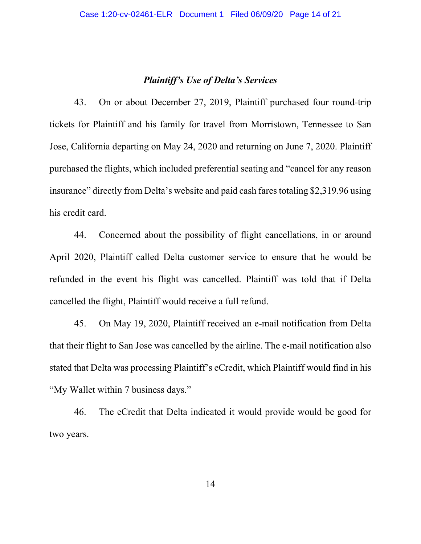# *Plaintiff's Use of Delta's Services*

43. On or about December 27, 2019, Plaintiff purchased four round-trip tickets for Plaintiff and his family for travel from Morristown, Tennessee to San Jose, California departing on May 24, 2020 and returning on June 7, 2020. Plaintiff purchased the flights, which included preferential seating and "cancel for any reason insurance" directly from Delta's website and paid cash fares totaling \$2,319.96 using his credit card.

44. Concerned about the possibility of flight cancellations, in or around April 2020, Plaintiff called Delta customer service to ensure that he would be refunded in the event his flight was cancelled. Plaintiff was told that if Delta cancelled the flight, Plaintiff would receive a full refund.

45. On May 19, 2020, Plaintiff received an e-mail notification from Delta that their flight to San Jose was cancelled by the airline. The e-mail notification also stated that Delta was processing Plaintiff's eCredit, which Plaintiff would find in his "My Wallet within 7 business days."

46. The eCredit that Delta indicated it would provide would be good for two years.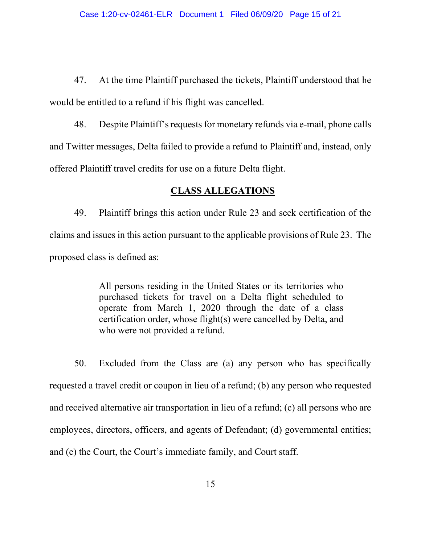47. At the time Plaintiff purchased the tickets, Plaintiff understood that he would be entitled to a refund if his flight was cancelled.

48. Despite Plaintiff's requests for monetary refunds via e-mail, phone calls and Twitter messages, Delta failed to provide a refund to Plaintiff and, instead, only offered Plaintiff travel credits for use on a future Delta flight.

### **CLASS ALLEGATIONS**

49. Plaintiff brings this action under Rule 23 and seek certification of the claims and issues in this action pursuant to the applicable provisions of Rule 23. The proposed class is defined as:

> All persons residing in the United States or its territories who purchased tickets for travel on a Delta flight scheduled to operate from March 1, 2020 through the date of a class certification order, whose flight(s) were cancelled by Delta, and who were not provided a refund.

50. Excluded from the Class are (a) any person who has specifically requested a travel credit or coupon in lieu of a refund; (b) any person who requested and received alternative air transportation in lieu of a refund; (c) all persons who are employees, directors, officers, and agents of Defendant; (d) governmental entities; and (e) the Court, the Court's immediate family, and Court staff.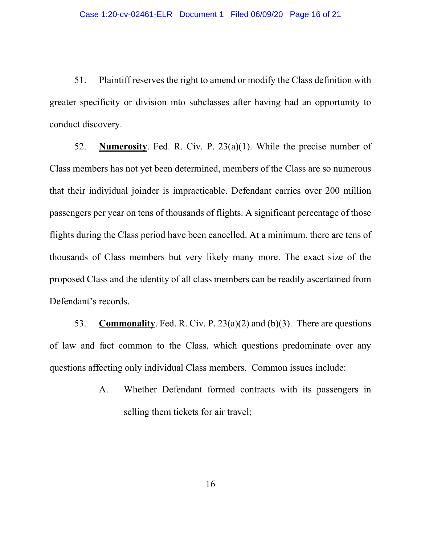51. Plaintiff reserves the right to amend or modify the Class definition with greater specificity or division into subclasses after having had an opportunity to conduct discovery.

52. **Numerosity**. Fed. R. Civ. P. 23(a)(1). While the precise number of Class members has not yet been determined, members of the Class are so numerous that their individual joinder is impracticable. Defendant carries over 200 million passengers per year on tens of thousands of flights. A significant percentage of those flights during the Class period have been cancelled. At a minimum, there are tens of thousands of Class members but very likely many more. The exact size of the proposed Class and the identity of all class members can be readily ascertained from Defendant's records.

53. **Commonality**. Fed. R. Civ. P. 23(a)(2) and (b)(3). There are questions of law and fact common to the Class, which questions predominate over any questions affecting only individual Class members. Common issues include:

> A. Whether Defendant formed contracts with its passengers in selling them tickets for air travel;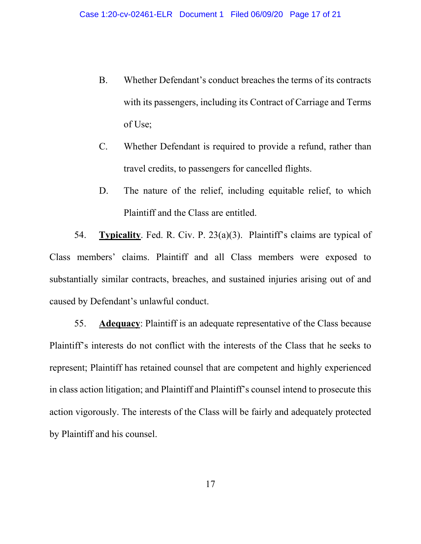- B. Whether Defendant's conduct breaches the terms of its contracts with its passengers, including its Contract of Carriage and Terms of Use;
- C. Whether Defendant is required to provide a refund, rather than travel credits, to passengers for cancelled flights.
- D. The nature of the relief, including equitable relief, to which Plaintiff and the Class are entitled.

54. **Typicality**. Fed. R. Civ. P. 23(a)(3). Plaintiff's claims are typical of Class members' claims. Plaintiff and all Class members were exposed to substantially similar contracts, breaches, and sustained injuries arising out of and caused by Defendant's unlawful conduct.

55. **Adequacy**: Plaintiff is an adequate representative of the Class because Plaintiff's interests do not conflict with the interests of the Class that he seeks to represent; Plaintiff has retained counsel that are competent and highly experienced in class action litigation; and Plaintiff and Plaintiff's counsel intend to prosecute this action vigorously. The interests of the Class will be fairly and adequately protected by Plaintiff and his counsel.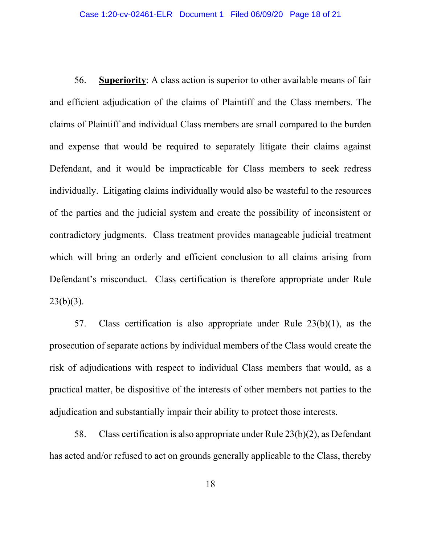56. **Superiority**: A class action is superior to other available means of fair and efficient adjudication of the claims of Plaintiff and the Class members. The claims of Plaintiff and individual Class members are small compared to the burden and expense that would be required to separately litigate their claims against Defendant, and it would be impracticable for Class members to seek redress individually. Litigating claims individually would also be wasteful to the resources of the parties and the judicial system and create the possibility of inconsistent or contradictory judgments. Class treatment provides manageable judicial treatment which will bring an orderly and efficient conclusion to all claims arising from Defendant's misconduct. Class certification is therefore appropriate under Rule  $23(b)(3)$ .

57. Class certification is also appropriate under Rule 23(b)(1), as the prosecution of separate actions by individual members of the Class would create the risk of adjudications with respect to individual Class members that would, as a practical matter, be dispositive of the interests of other members not parties to the adjudication and substantially impair their ability to protect those interests.

58. Class certification is also appropriate under Rule 23(b)(2), as Defendant has acted and/or refused to act on grounds generally applicable to the Class, thereby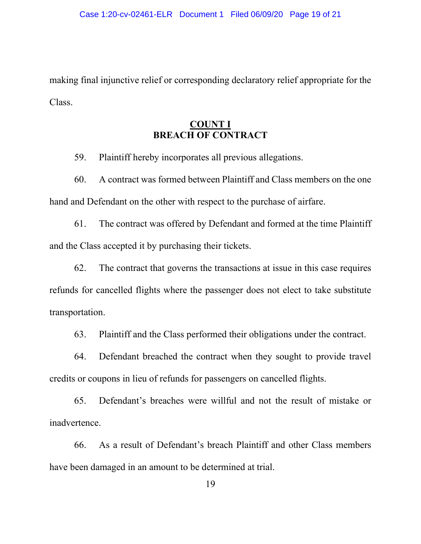making final injunctive relief or corresponding declaratory relief appropriate for the Class.

# **COUNT I BREACH OF CONTRACT**

59. Plaintiff hereby incorporates all previous allegations.

60. A contract was formed between Plaintiff and Class members on the one hand and Defendant on the other with respect to the purchase of airfare.

61. The contract was offered by Defendant and formed at the time Plaintiff and the Class accepted it by purchasing their tickets.

62. The contract that governs the transactions at issue in this case requires refunds for cancelled flights where the passenger does not elect to take substitute transportation.

63. Plaintiff and the Class performed their obligations under the contract.

64. Defendant breached the contract when they sought to provide travel credits or coupons in lieu of refunds for passengers on cancelled flights.

65. Defendant's breaches were willful and not the result of mistake or inadvertence.

66. As a result of Defendant's breach Plaintiff and other Class members have been damaged in an amount to be determined at trial.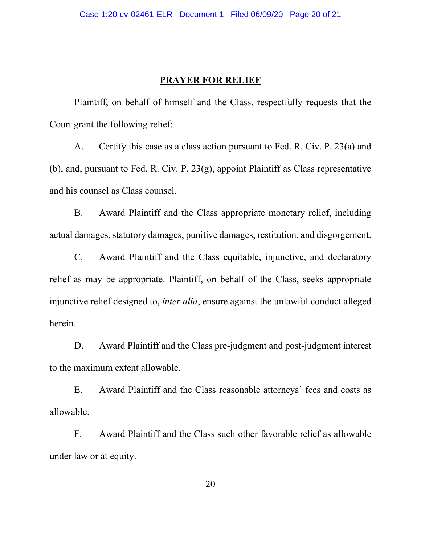## **PRAYER FOR RELIEF**

Plaintiff, on behalf of himself and the Class, respectfully requests that the Court grant the following relief:

A. Certify this case as a class action pursuant to Fed. R. Civ. P. 23(a) and (b), and, pursuant to Fed. R. Civ. P. 23(g), appoint Plaintiff as Class representative and his counsel as Class counsel.

B. Award Plaintiff and the Class appropriate monetary relief, including actual damages, statutory damages, punitive damages, restitution, and disgorgement.

C. Award Plaintiff and the Class equitable, injunctive, and declaratory relief as may be appropriate. Plaintiff, on behalf of the Class, seeks appropriate injunctive relief designed to, *inter alia*, ensure against the unlawful conduct alleged herein.

D. Award Plaintiff and the Class pre-judgment and post-judgment interest to the maximum extent allowable.

E. Award Plaintiff and the Class reasonable attorneys' fees and costs as allowable.

F. Award Plaintiff and the Class such other favorable relief as allowable under law or at equity.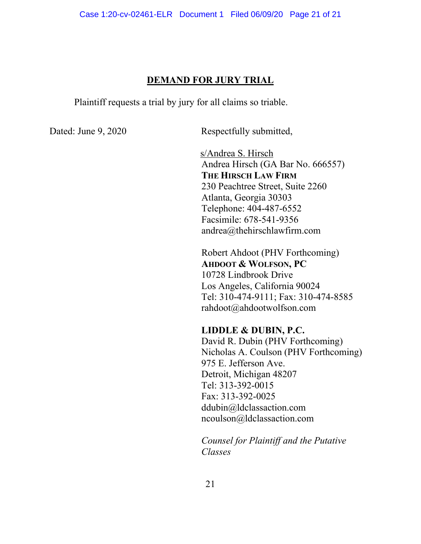### **DEMAND FOR JURY TRIAL**

Plaintiff requests a trial by jury for all claims so triable.

Dated: June 9, 2020 Respectfully submitted,

s/Andrea S. Hirsch Andrea Hirsch (GA Bar No. 666557) **THE HIRSCH LAW FIRM** 230 Peachtree Street, Suite 2260 Atlanta, Georgia 30303 Telephone: 404-487-6552 Facsimile: 678-541-9356 andrea@thehirschlawfirm.com

Robert Ahdoot (PHV Forthcoming) **AHDOOT & WOLFSON, PC** 10728 Lindbrook Drive Los Angeles, California 90024 Tel: 310-474-9111; Fax: 310-474-8585 rahdoot@ahdootwolfson.com

**LIDDLE & DUBIN, P.C.**

David R. Dubin (PHV Forthcoming) Nicholas A. Coulson (PHV Forthcoming) 975 E. Jefferson Ave. Detroit, Michigan 48207 Tel: 313-392-0015 Fax: 313-392-0025 ddubin@ldclassaction.com ncoulson@ldclassaction.com

*Counsel for Plaintiff and the Putative Classes*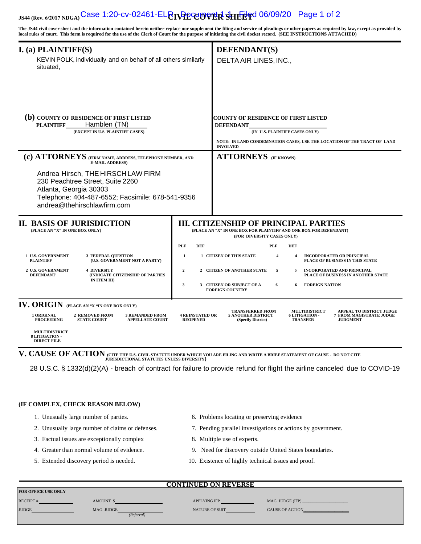# **JS44 (Rev. 6/2017 NDGA) Case 1:20-cv-02461-EL <b>CTVPLCUOVER SHETER** 106/09/20 Page 1 of 2

**The JS44 civil cover sheet and the information contained herein neither replace nor supplement the filing and service of pleadings or other papers as required by law, except as provided by local rules of court. This form is required for the use of the Clerk of Court for the purpose of initiating the civil docket record. (SEE INSTRUCTIONS ATTACHED)**

| $I.$ (a) PLAINTIFF(S)                                                                                                                                                               |                                                                                                                                                                         | <b>DEFENDANT(S)</b>                                    |                                                                                                                                                                                                                                                                                                                    |                                                                                                                                                 |  |  |  |
|-------------------------------------------------------------------------------------------------------------------------------------------------------------------------------------|-------------------------------------------------------------------------------------------------------------------------------------------------------------------------|--------------------------------------------------------|--------------------------------------------------------------------------------------------------------------------------------------------------------------------------------------------------------------------------------------------------------------------------------------------------------------------|-------------------------------------------------------------------------------------------------------------------------------------------------|--|--|--|
| KEVIN POLK, individually and on behalf of all others similarly<br>situated,                                                                                                         |                                                                                                                                                                         | DELTA AIR LINES, INC.,                                 |                                                                                                                                                                                                                                                                                                                    |                                                                                                                                                 |  |  |  |
|                                                                                                                                                                                     |                                                                                                                                                                         |                                                        |                                                                                                                                                                                                                                                                                                                    |                                                                                                                                                 |  |  |  |
| <b>PLAINTIFF</b>                                                                                                                                                                    | (b) COUNTY OF RESIDENCE OF FIRST LISTED<br>Hamblen (TN)<br>(EXCEPT IN U.S. PLAINTIFF CASES)                                                                             |                                                        | <b>DEFENDANT</b>                                                                                                                                                                                                                                                                                                   | COUNTY OF RESIDENCE OF FIRST LISTED<br>(IN U.S. PLAINTIFF CASES ONLY)                                                                           |  |  |  |
|                                                                                                                                                                                     |                                                                                                                                                                         |                                                        | <b>INVOLVED</b>                                                                                                                                                                                                                                                                                                    | NOTE: IN LAND CONDEMNATION CASES, USE THE LOCATION OF THE TRACT OF LAND                                                                         |  |  |  |
| (c) ATTORNEYS (FIRM NAME, ADDRESS, TELEPHONE NUMBER, AND<br><b>E-MAIL ADDRESS)</b>                                                                                                  |                                                                                                                                                                         | <b>ATTORNEYS</b> (IF KNOWN)                            |                                                                                                                                                                                                                                                                                                                    |                                                                                                                                                 |  |  |  |
| Andrea Hirsch, THE HIRSCH LAW FIRM<br>230 Peachtree Street, Suite 2260<br>Atlanta, Georgia 30303<br>Telephone: 404-487-6552; Facsimile: 678-541-9356<br>andrea@thehirschlawfirm.com |                                                                                                                                                                         |                                                        |                                                                                                                                                                                                                                                                                                                    |                                                                                                                                                 |  |  |  |
| II. BASIS OF JURISDICTION<br>(PLACE AN "X" IN ONE BOX ONLY)                                                                                                                         |                                                                                                                                                                         |                                                        |                                                                                                                                                                                                                                                                                                                    | <b>III. CITIZENSHIP OF PRINCIPAL PARTIES</b><br>(PLACE AN "X" IN ONE BOX FOR PLAINTIFF AND ONE BOX FOR DEFENDANT)<br>(FOR DIVERSITY CASES ONLY) |  |  |  |
| <b>U.S. GOVERNMENT</b><br><b>PLAINTIFF</b><br><b>U.S. GOVERNMENT</b><br><b>DEFENDANT</b>                                                                                            | <b>FEDERAL QUESTION</b><br>(U.S. GOVERNMENT NOT A PARTY)<br>V<br><b>DIVERSITY</b><br>(INDICATE CITIZENSHIP OF PARTIES<br>IN ITEM III)                                   | PLF<br>DEF<br>Η,<br>$\boxed{\mathcal{V}},$<br>$\Box_3$ | PLF<br>DEF<br>☑<br><b>CITIZEN OF THIS STATE</b><br><b>INCORPORATED OR PRINCIPAL</b><br>PLACE OF BUSINESS IN THIS STATE<br><b>CITIZEN OF ANOTHER STATE</b><br>INCORPORATED AND PRINCIPAL<br>PLACE OF BUSINESS IN ANOTHER STATE<br><b>CITIZEN OR SUBJECT OF A</b><br><b>FOREIGN NATION</b><br><b>FOREIGN COUNTRY</b> |                                                                                                                                                 |  |  |  |
| V<br>ORIGINAL<br><b>PROCEEDING</b><br><b>MULTIDISTRICT</b><br><b>LITIGATION-</b>                                                                                                    | <b>IV. ORIGIN (PLACE AN "X "IN ONE BOX ONLY)</b><br><b>REMOVED FROM</b><br><b>3 REMANDED FROM</b><br><b>STATE COURT</b><br><b>APPELLATE COURT</b>                       | <b>4 REINSTATED OR</b><br><b>REOPENED</b>              | <b>TRANSFERRED FROM</b><br><b>ANOTHER DISTRICT</b><br>(Specify District)                                                                                                                                                                                                                                           | <b>APPEAL TO DISTRICT JUDGE</b><br><b>MULTIDISTRICT</b><br><b>6 LITIGATION -</b><br>FROM MAGISTRATE JUDGE<br><b>TRANSFER</b><br><b>JUDGMENT</b> |  |  |  |
| <b>DIRECT FILE</b>                                                                                                                                                                  |                                                                                                                                                                         |                                                        |                                                                                                                                                                                                                                                                                                                    |                                                                                                                                                 |  |  |  |
|                                                                                                                                                                                     | V. CAUSE OF ACTION (CITE THE U.S. CIVIL STATUTE UNDER WHICH YOU ARE FILING AND WRITE A BRIEF STATEMENT OF CAUSE - DO NOT CITE JURISDICTIONAL STATUTES UNLESS DIVERSITY) |                                                        |                                                                                                                                                                                                                                                                                                                    | 28 U.S.C. § 1332(d)(2)(A) - breach of contract for failure to provide refund for flight the airline canceled due to COVID-19                    |  |  |  |
|                                                                                                                                                                                     | (IF COMPLEX, CHECK REASON BELOW)                                                                                                                                        |                                                        |                                                                                                                                                                                                                                                                                                                    |                                                                                                                                                 |  |  |  |
|                                                                                                                                                                                     | $\Box$ 1. Unusually large number of parties.<br>$\Box$ 6. Problems locating or preserving evidence                                                                      |                                                        |                                                                                                                                                                                                                                                                                                                    |                                                                                                                                                 |  |  |  |
|                                                                                                                                                                                     | $\Box$ 2. Unusually large number of claims or defenses.                                                                                                                 |                                                        | 7. Pending parallel investigations or actions by government.                                                                                                                                                                                                                                                       |                                                                                                                                                 |  |  |  |
|                                                                                                                                                                                     | 3. Factual issues are exceptionally complex                                                                                                                             |                                                        | $\Box$ 8. Multiple use of experts.                                                                                                                                                                                                                                                                                 |                                                                                                                                                 |  |  |  |
|                                                                                                                                                                                     | 4. Greater than normal volume of evidence.                                                                                                                              |                                                        | 9. Need for discovery outside United States boundaries.                                                                                                                                                                                                                                                            |                                                                                                                                                 |  |  |  |
| $\frac{1}{2}$ 5. Extended discovery period is needed.<br>10. Existence of highly technical issues and proof.                                                                        |                                                                                                                                                                         |                                                        |                                                                                                                                                                                                                                                                                                                    |                                                                                                                                                 |  |  |  |
| <b>CONTINUED ON REVERSE</b>                                                                                                                                                         |                                                                                                                                                                         |                                                        |                                                                                                                                                                                                                                                                                                                    |                                                                                                                                                 |  |  |  |
| FOR OFFICE USE ONLY<br>RECEIPT #                                                                                                                                                    | AMOUNT \$                                                                                                                                                               |                                                        | APPLYING IFP                                                                                                                                                                                                                                                                                                       | MAG. JUDGE (IFP)                                                                                                                                |  |  |  |
| <b>JUDGE</b>                                                                                                                                                                        | MAG. JUDGE                                                                                                                                                              | NATURE OF SUIT                                         |                                                                                                                                                                                                                                                                                                                    | <b>CAUSE OF ACTION</b>                                                                                                                          |  |  |  |

*(Referral)*